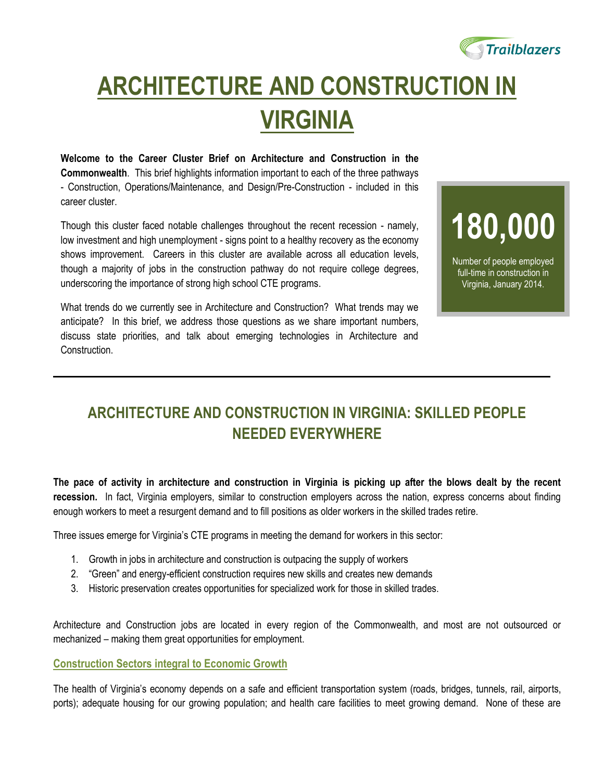

## **ARCHITECTURE AND CONSTRUCTION IN VIRGINIA**

**Welcome to the Career Cluster Brief on Architecture and Construction in the Commonwealth**. This brief highlights information important to each of the three pathways - Construction, Operations/Maintenance, and Design/Pre-Construction - included in this career cluster.

Though this cluster faced notable challenges throughout the recent recession - namely, low investment and high unemployment - signs point to a healthy recovery as the economy shows improvement. Careers in this cluster are available across all education levels, though a majority of jobs in the construction pathway do not require college degrees, underscoring the importance of strong high school CTE programs.

What trends do we currently see in Architecture and Construction? What trends may we anticipate? In this brief, we address those questions as we share important numbers, discuss state priorities, and talk about emerging technologies in Architecture and Construction.

# **180,000**

Number of people employed full-time in construction in Virginia, January 2014.

## **ARCHITECTURE AND CONSTRUCTION IN VIRGINIA: SKILLED PEOPLE NEEDED EVERYWHERE**

**The pace of activity in architecture and construction in Virginia is picking up after the blows dealt by the recent recession.** In fact, Virginia employers, similar to construction employers across the nation, express concerns about finding enough workers to meet a resurgent demand and to fill positions as older workers in the skilled trades retire.

Three issues emerge for Virginia's CTE programs in meeting the demand for workers in this sector:

- 1. Growth in jobs in architecture and construction is outpacing the supply of workers
- 2. "Green" and energy-efficient construction requires new skills and creates new demands
- 3. Historic preservation creates opportunities for specialized work for those in skilled trades.

Architecture and Construction jobs are located in every region of the Commonwealth, and most are not outsourced or mechanized – making them great opportunities for employment.

#### **Construction Sectors integral to Economic Growth**

The health of Virginia's economy depends on a safe and efficient transportation system (roads, bridges, tunnels, rail, airports, ports); adequate housing for our growing population; and health care facilities to meet growing demand. None of these are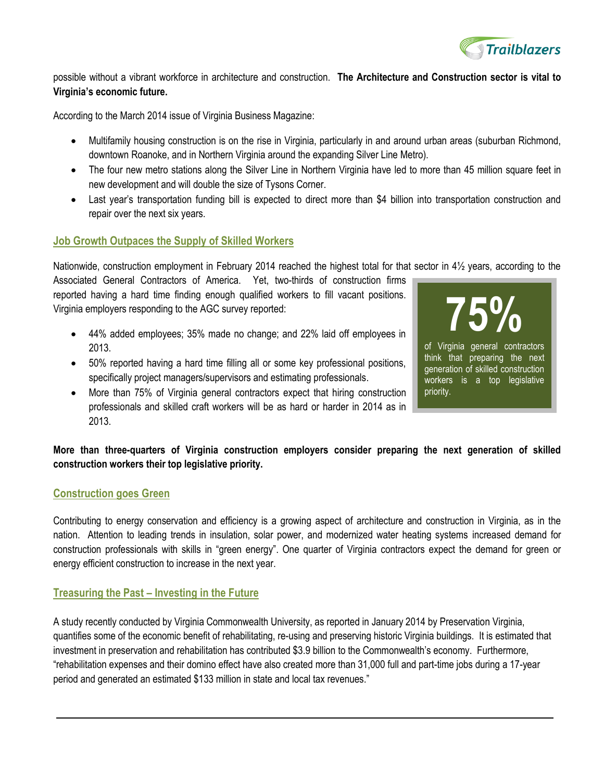

possible without a vibrant workforce in architecture and construction. **The Architecture and Construction sector is vital to Virginia's economic future.**

According to the March 2014 issue of Virginia Business Magazine:

- Multifamily housing construction is on the rise in Virginia, particularly in and around urban areas (suburban Richmond, downtown Roanoke, and in Northern Virginia around the expanding Silver Line Metro).
- The four new metro stations along the Silver Line in Northern Virginia have led to more than 45 million square feet in new development and will double the size of Tysons Corner.
- Last year's transportation funding bill is expected to direct more than \$4 billion into transportation construction and repair over the next six years.

#### **Job Growth Outpaces the Supply of Skilled Workers**

Nationwide, construction employment in February 2014 reached the highest total for that sector in 4½ years, according to the

Associated General Contractors of America. Yet, two-thirds of construction firms reported having a hard time finding enough qualified workers to fill vacant positions. Virginia employers responding to the AGC survey reported:

- 44% added employees; 35% made no change; and 22% laid off employees in 2013.
- 50% reported having a hard time filling all or some key professional positions, specifically project managers/supervisors and estimating professionals.
- **75%** of Virginia general contractors think that preparing the next generation of skilled construction workers is a top legislative priority.
- More than 75% of Virginia general contractors expect that hiring construction professionals and skilled craft workers will be as hard or harder in 2014 as in 2013.

**More than three-quarters of Virginia construction employers consider preparing the next generation of skilled construction workers their top legislative priority.**

#### **Construction goes Green**

Contributing to energy conservation and efficiency is a growing aspect of architecture and construction in Virginia, as in the nation. Attention to leading trends in insulation, solar power, and modernized water heating systems increased demand for construction professionals with skills in "green energy". One quarter of Virginia contractors expect the demand for green or energy efficient construction to increase in the next year.

#### **Treasuring the Past – Investing in the Future**

A study recently conducted by Virginia Commonwealth University, as reported in January 2014 by Preservation Virginia, quantifies some of the economic benefit of rehabilitating, re-using and preserving historic Virginia buildings. It is estimated that investment in preservation and rehabilitation has contributed \$3.9 billion to the Commonwealth's economy. Furthermore, "rehabilitation expenses and their domino effect have also created more than 31,000 full and part-time jobs during a 17-year period and generated an estimated \$133 million in state and local tax revenues."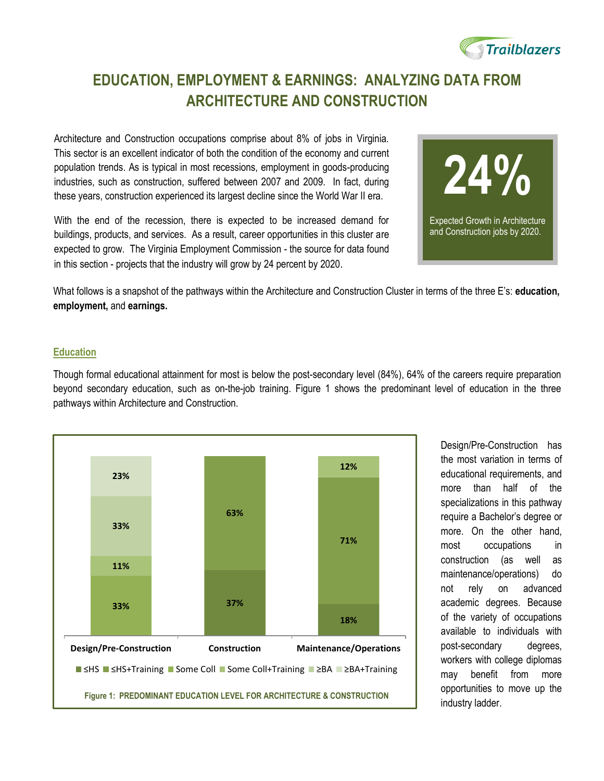

## **EDUCATION, EMPLOYMENT & EARNINGS: ANALYZING DATA FROM ARCHITECTURE AND CONSTRUCTION**

Architecture and Construction occupations comprise about 8% of jobs in Virginia. This sector is an excellent indicator of both the condition of the economy and current population trends. As is typical in most recessions, employment in goods-producing industries, such as construction, suffered between 2007 and 2009. In fact, during these years, construction experienced its largest decline since the World War II era.

With the end of the recession, there is expected to be increased demand for buildings, products, and services. As a result, career opportunities in this cluster are expected to grow. The Virginia Employment Commission - the source for data found in this section - projects that the industry will grow by 24 percent by 2020.



What follows is a snapshot of the pathways within the Architecture and Construction Cluster in terms of the three E's: **education, employment,** and **earnings.** 

#### **Education**

Though formal educational attainment for most is below the post-secondary level (84%), 64% of the careers require preparation beyond secondary education, such as on-the-job training. Figure 1 shows the predominant level of education in the three pathways within Architecture and Construction.



Design/Pre-Construction has the most variation in terms of educational requirements, and more than half of the specializations in this pathway require a Bachelor's degree or more. On the other hand, most occupations in construction (as well as maintenance/operations) do not rely on advanced academic degrees. Because of the variety of occupations available to individuals with post-secondary degrees, workers with college diplomas may benefit from more opportunities to move up the industry ladder.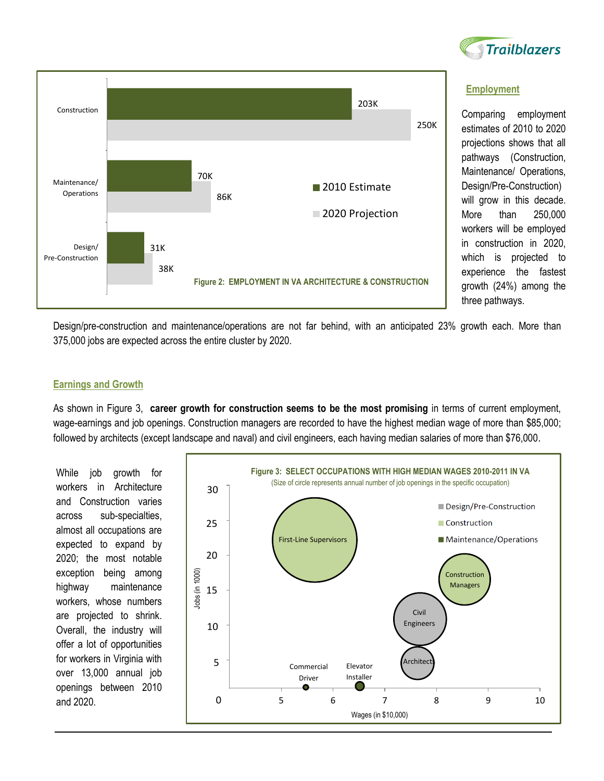



#### **Employment**

Comparing employment estimates of 2010 to 2020 projections shows that all pathways (Construction, Maintenance/ Operations, Design/Pre-Construction) will grow in this decade. More than 250,000 workers will be employed in construction in 2020, which is projected to experience the fastest growth (24%) among the three pathways.

Design/pre-construction and maintenance/operations are not far behind, with an anticipated 23% growth each. More than 375,000 jobs are expected across the entire cluster by 2020.

#### **Earnings and Growth**

As shown in Figure 3, **career growth for construction seems to be the most promising** in terms of current employment, wage-earnings and job openings. Construction managers are recorded to have the highest median wage of more than \$85,000; followed by architects (except landscape and naval) and civil engineers, each having median salaries of more than \$76,000.

While job growth for workers in Architecture and Construction varies across sub-specialties, almost all occupations are expected to expand by 2020; the most notable exception being among highway maintenance workers, whose numbers are projected to shrink. Overall, the industry will offer a lot of opportunities for workers in Virginia with over 13,000 annual job openings between 2010 and 2020.

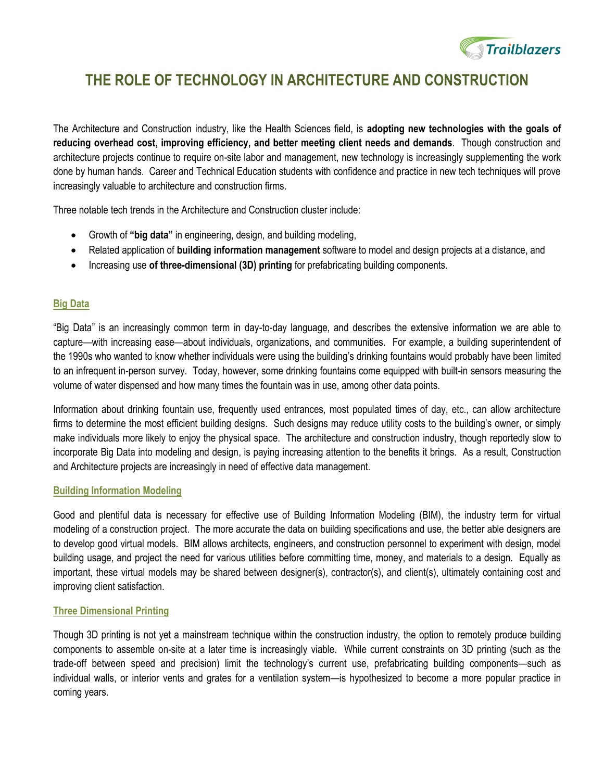

### **THE ROLE OF TECHNOLOGY IN ARCHITECTURE AND CONSTRUCTION**

The Architecture and Construction industry, like the Health Sciences field, is **adopting new technologies with the goals of reducing overhead cost, improving efficiency, and better meeting client needs and demands**. Though construction and architecture projects continue to require on-site labor and management, new technology is increasingly supplementing the work done by human hands. Career and Technical Education students with confidence and practice in new tech techniques will prove increasingly valuable to architecture and construction firms.

Three notable tech trends in the Architecture and Construction cluster include:

- Growth of **"big data"** in engineering, design, and building modeling,
- Related application of **building information management** software to model and design projects at a distance, and
- Increasing use **of three-dimensional (3D) printing** for prefabricating building components.

#### **Big Data**

"Big Data" is an increasingly common term in day-to-day language, and describes the extensive information we are able to capture—with increasing ease—about individuals, organizations, and communities. For example, a building superintendent of the 1990s who wanted to know whether individuals were using the building's drinking fountains would probably have been limited to an infrequent in-person survey. Today, however, some drinking fountains come equipped with built-in sensors measuring the volume of water dispensed and how many times the fountain was in use, among other data points.

Information about drinking fountain use, frequently used entrances, most populated times of day, etc., can allow architecture firms to determine the most efficient building designs. Such designs may reduce utility costs to the building's owner, or simply make individuals more likely to enjoy the physical space. The architecture and construction industry, though reportedly slow to incorporate Big Data into modeling and design, is paying increasing attention to the benefits it brings. As a result, Construction and Architecture projects are increasingly in need of effective data management.

#### **Building Information Modeling**

Good and plentiful data is necessary for effective use of Building Information Modeling (BIM), the industry term for virtual modeling of a construction project. The more accurate the data on building specifications and use, the better able designers are to develop good virtual models. BIM allows architects, engineers, and construction personnel to experiment with design, model building usage, and project the need for various utilities before committing time, money, and materials to a design. Equally as important, these virtual models may be shared between designer(s), contractor(s), and client(s), ultimately containing cost and improving client satisfaction.

#### **Three Dimensional Printing**

Though 3D printing is not yet a mainstream technique within the construction industry, the option to remotely produce building components to assemble on-site at a later time is increasingly viable. While current constraints on 3D printing (such as the trade-off between speed and precision) limit the technology's current use, prefabricating building components—such as individual walls, or interior vents and grates for a ventilation system—is hypothesized to become a more popular practice in coming years.